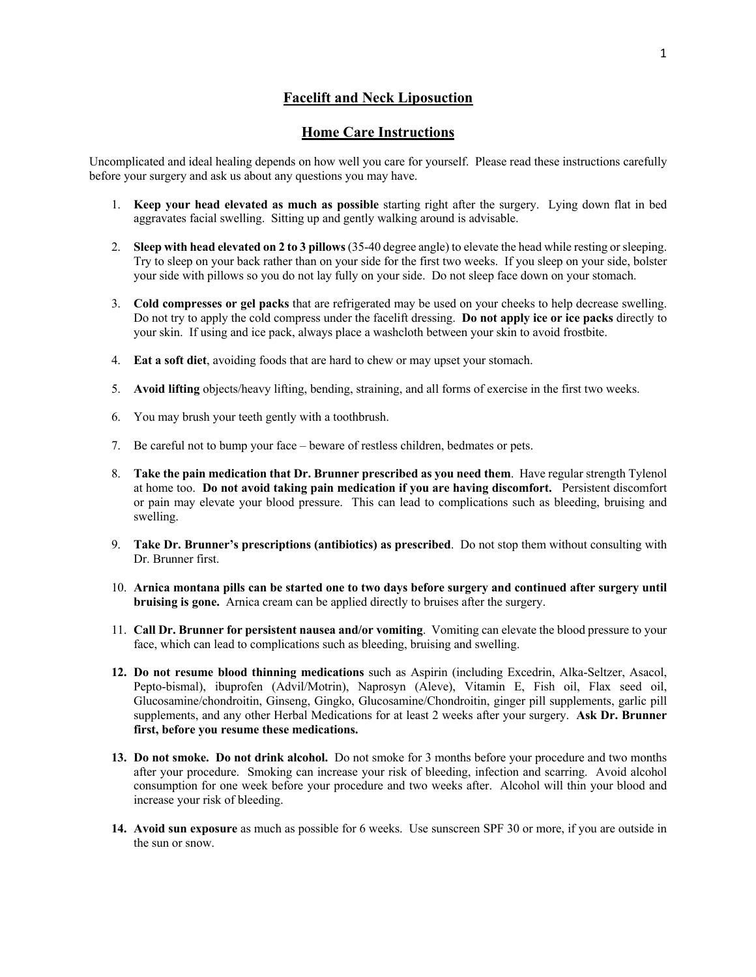## **Facelift and Neck Liposuction**

## **Home Care Instructions**

Uncomplicated and ideal healing depends on how well you care for yourself. Please read these instructions carefully before your surgery and ask us about any questions you may have.

- 1. **Keep your head elevated as much as possible** starting right after the surgery. Lying down flat in bed aggravates facial swelling. Sitting up and gently walking around is advisable.
- 2. **Sleep with head elevated on 2 to 3 pillows**(35-40 degree angle) to elevate the head while resting or sleeping. Try to sleep on your back rather than on your side for the first two weeks. If you sleep on your side, bolster your side with pillows so you do not lay fully on your side. Do not sleep face down on your stomach.
- 3. **Cold compresses or gel packs** that are refrigerated may be used on your cheeks to help decrease swelling. Do not try to apply the cold compress under the facelift dressing. **Do not apply ice or ice packs** directly to your skin. If using and ice pack, always place a washcloth between your skin to avoid frostbite.
- 4. **Eat a soft diet**, avoiding foods that are hard to chew or may upset your stomach.
- 5. **Avoid lifting** objects/heavy lifting, bending, straining, and all forms of exercise in the first two weeks.
- 6. You may brush your teeth gently with a toothbrush.
- 7. Be careful not to bump your face beware of restless children, bedmates or pets.
- 8. **Take the pain medication that Dr. Brunner prescribed as you need them**. Have regular strength Tylenol at home too. **Do not avoid taking pain medication if you are having discomfort.** Persistent discomfort or pain may elevate your blood pressure. This can lead to complications such as bleeding, bruising and swelling.
- 9. **Take Dr. Brunner's prescriptions (antibiotics) as prescribed**. Do not stop them without consulting with Dr. Brunner first.
- 10. **Arnica montana pills can be started one to two days before surgery and continued after surgery until bruising is gone.** Arnica cream can be applied directly to bruises after the surgery.
- 11. **Call Dr. Brunner for persistent nausea and/or vomiting**. Vomiting can elevate the blood pressure to your face, which can lead to complications such as bleeding, bruising and swelling.
- **12. Do not resume blood thinning medications** such as Aspirin (including Excedrin, Alka-Seltzer, Asacol, Pepto-bismal), ibuprofen (Advil/Motrin), Naprosyn (Aleve), Vitamin E, Fish oil, Flax seed oil, Glucosamine/chondroitin, Ginseng, Gingko, Glucosamine/Chondroitin, ginger pill supplements, garlic pill supplements, and any other Herbal Medications for at least 2 weeks after your surgery. **Ask Dr. Brunner first, before you resume these medications.**
- **13. Do not smoke. Do not drink alcohol.** Do not smoke for 3 months before your procedure and two months after your procedure. Smoking can increase your risk of bleeding, infection and scarring. Avoid alcohol consumption for one week before your procedure and two weeks after.Alcohol will thin your blood and increase your risk of bleeding.
- **14. Avoid sun exposure** as much as possible for 6 weeks. Use sunscreen SPF 30 or more, if you are outside in the sun or snow.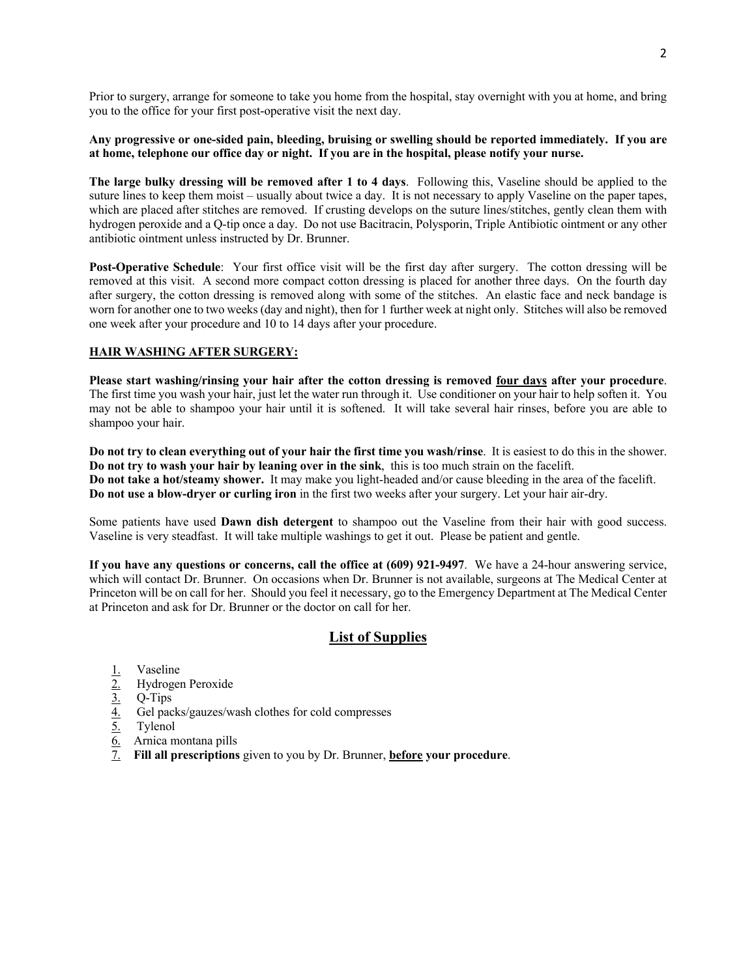Prior to surgery, arrange for someone to take you home from the hospital, stay overnight with you at home, and bring you to the office for your first post-operative visit the next day.

#### **Any progressive or one-sided pain, bleeding, bruising or swelling should be reported immediately. If you are at home, telephone our office day or night. If you are in the hospital, please notify your nurse.**

**The large bulky dressing will be removed after 1 to 4 days**. Following this, Vaseline should be applied to the suture lines to keep them moist – usually about twice a day. It is not necessary to apply Vaseline on the paper tapes, which are placed after stitches are removed. If crusting develops on the suture lines/stitches, gently clean them with hydrogen peroxide and a Q-tip once a day. Do not use Bacitracin, Polysporin, Triple Antibiotic ointment or any other antibiotic ointment unless instructed by Dr. Brunner.

**Post-Operative Schedule**: Your first office visit will be the first day after surgery. The cotton dressing will be removed at this visit. A second more compact cotton dressing is placed for another three days. On the fourth day after surgery, the cotton dressing is removed along with some of the stitches. An elastic face and neck bandage is worn for another one to two weeks (day and night), then for 1 further week at night only. Stitches will also be removed one week after your procedure and 10 to 14 days after your procedure.

#### **HAIR WASHING AFTER SURGERY:**

**Please start washing/rinsing your hair after the cotton dressing is removed four days after your procedure**. The first time you wash your hair, just let the water run through it. Use conditioner on your hair to help soften it. You may not be able to shampoo your hair until it is softened. It will take several hair rinses, before you are able to shampoo your hair.

**Do not try to clean everything out of your hair the first time you wash/rinse**. It is easiest to do this in the shower. **Do not try to wash your hair by leaning over in the sink**, this is too much strain on the facelift. **Do not take a hot/steamy shower.** It may make you light-headed and/or cause bleeding in the area of the facelift. **Do not use a blow-dryer or curling iron** in the first two weeks after your surgery. Let your hair air-dry.

Some patients have used **Dawn dish detergent** to shampoo out the Vaseline from their hair with good success. Vaseline is very steadfast. It will take multiple washings to get it out. Please be patient and gentle.

**If you have any questions or concerns, call the office at (609) 921-9497**. We have a 24-hour answering service, which will contact Dr. Brunner. On occasions when Dr. Brunner is not available, surgeons at The Medical Center at Princeton will be on call for her. Should you feel it necessary, go to the Emergency Department at The Medical Center at Princeton and ask for Dr. Brunner or the doctor on call for her.

# **List of Supplies**

- 
- 2. Hydrogen Peroxide
- 3. Q-Tips
- $\frac{1}{2}$ . Vaseline<br>  $\frac{3}{2}$ . Q-Tips<br>  $\frac{4}{5}$ . Gel pack<br>
Tylenol 4. Gel packs/gauzes/wash clothes for cold compresses
- Tylenol
- 6. Arnica montana pills
- 7. **Fill all prescriptions** given to you by Dr. Brunner, **before your procedure**.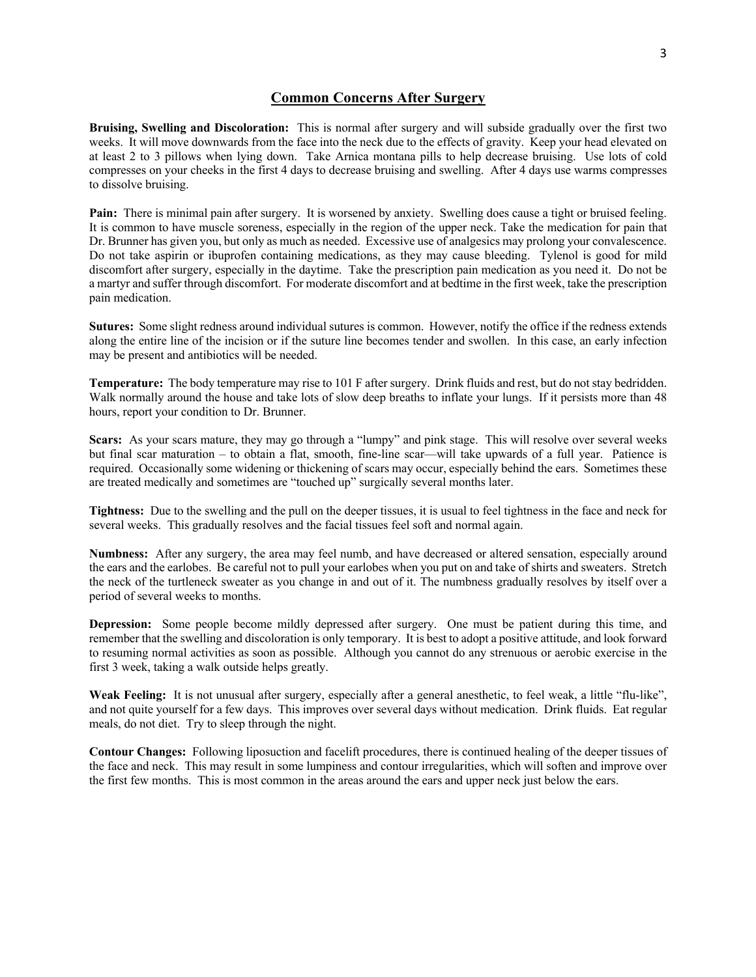#### **Common Concerns After Surgery**

**Bruising, Swelling and Discoloration:** This is normal after surgery and will subside gradually over the first two weeks. It will move downwards from the face into the neck due to the effects of gravity. Keep your head elevated on at least 2 to 3 pillows when lying down. Take Arnica montana pills to help decrease bruising. Use lots of cold compresses on your cheeks in the first 4 days to decrease bruising and swelling. After 4 days use warms compresses to dissolve bruising.

**Pain:** There is minimal pain after surgery. It is worsened by anxiety. Swelling does cause a tight or bruised feeling. It is common to have muscle soreness, especially in the region of the upper neck. Take the medication for pain that Dr. Brunner has given you, but only as much as needed. Excessive use of analgesics may prolong your convalescence. Do not take aspirin or ibuprofen containing medications, as they may cause bleeding. Tylenol is good for mild discomfort after surgery, especially in the daytime. Take the prescription pain medication as you need it. Do not be a martyr and suffer through discomfort. For moderate discomfort and at bedtime in the first week, take the prescription pain medication.

**Sutures:** Some slight redness around individual sutures is common. However, notify the office if the redness extends along the entire line of the incision or if the suture line becomes tender and swollen. In this case, an early infection may be present and antibiotics will be needed.

**Temperature:** The body temperature may rise to 101 F after surgery. Drink fluids and rest, but do not stay bedridden. Walk normally around the house and take lots of slow deep breaths to inflate your lungs. If it persists more than 48 hours, report your condition to Dr. Brunner.

**Scars:** As your scars mature, they may go through a "lumpy" and pink stage. This will resolve over several weeks but final scar maturation – to obtain a flat, smooth, fine-line scar—will take upwards of a full year. Patience is required. Occasionally some widening or thickening of scars may occur, especially behind the ears. Sometimes these are treated medically and sometimes are "touched up" surgically several months later.

**Tightness:** Due to the swelling and the pull on the deeper tissues, it is usual to feel tightness in the face and neck for several weeks. This gradually resolves and the facial tissues feel soft and normal again.

**Numbness:** After any surgery, the area may feel numb, and have decreased or altered sensation, especially around the ears and the earlobes. Be careful not to pull your earlobes when you put on and take of shirts and sweaters. Stretch the neck of the turtleneck sweater as you change in and out of it. The numbness gradually resolves by itself over a period of several weeks to months.

**Depression:** Some people become mildly depressed after surgery. One must be patient during this time, and remember that the swelling and discoloration is only temporary. It is best to adopt a positive attitude, and look forward to resuming normal activities as soon as possible. Although you cannot do any strenuous or aerobic exercise in the first 3 week, taking a walk outside helps greatly.

**Weak Feeling:** It is not unusual after surgery, especially after a general anesthetic, to feel weak, a little "flu-like", and not quite yourself for a few days. This improves over several days without medication. Drink fluids. Eat regular meals, do not diet. Try to sleep through the night.

**Contour Changes:** Following liposuction and facelift procedures, there is continued healing of the deeper tissues of the face and neck. This may result in some lumpiness and contour irregularities, which will soften and improve over the first few months. This is most common in the areas around the ears and upper neck just below the ears.